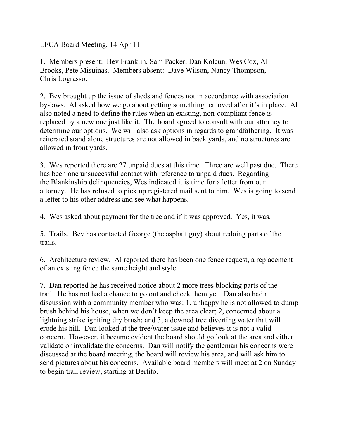LFCA Board Meeting, 14 Apr 11

1. Members present: Bev Franklin, Sam Packer, Dan Kolcun, Wes Cox, Al Brooks, Pete Misuinas. Members absent: Dave Wilson, Nancy Thompson, Chris Lograsso.

2. Bev brought up the issue of sheds and fences not in accordance with association by-laws. Al asked how we go about getting something removed after it's in place. Al also noted a need to define the rules when an existing, non-compliant fence is replaced by a new one just like it. The board agreed to consult with our attorney to determine our options. We will also ask options in regards to grandfathering. It was reiterated stand alone structures are not allowed in back yards, and no structures are allowed in front yards.

3. Wes reported there are 27 unpaid dues at this time. Three are well past due. There has been one unsuccessful contact with reference to unpaid dues. Regarding the Blankinship delinquencies, Wes indicated it is time for a letter from our attorney. He has refused to pick up registered mail sent to him. Wes is going to send a letter to his other address and see what happens.

4. Wes asked about payment for the tree and if it was approved. Yes, it was.

5. Trails. Bev has contacted George (the asphalt guy) about redoing parts of the trails.

6. Architecture review. Al reported there has been one fence request, a replacement of an existing fence the same height and style.

7. Dan reported he has received notice about 2 more trees blocking parts of the trail. He has not had a chance to go out and check them yet. Dan also had a discussion with a community member who was: 1, unhappy he is not allowed to dump brush behind his house, when we don't keep the area clear; 2, concerned about a lightning strike igniting dry brush; and 3, a downed tree diverting water that will erode his hill. Dan looked at the tree/water issue and believes it is not a valid concern. However, it became evident the board should go look at the area and either validate or invalidate the concerns. Dan will notify the gentleman his concerns were discussed at the board meeting, the board will review his area, and will ask him to send pictures about his concerns. Available board members will meet at 2 on Sunday to begin trail review, starting at Bertito.